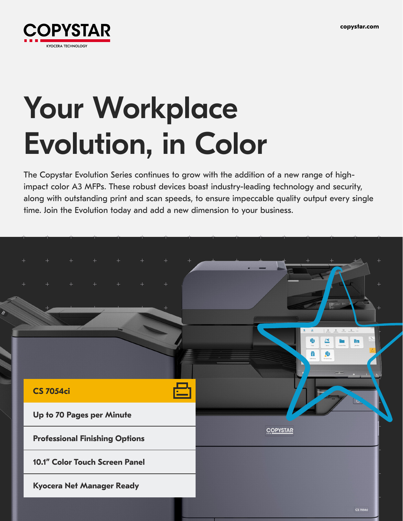

# Your Workplace Evolution, in Color

The Copystar Evolution Series continues to grow with the addition of a new range of highimpact color A3 MFPs. These robust devices boast industry-leading technology and security, along with outstanding print and scan speeds, to ensure impeccable quality output every single time. Join the Evolution today and add a new dimension to your business.

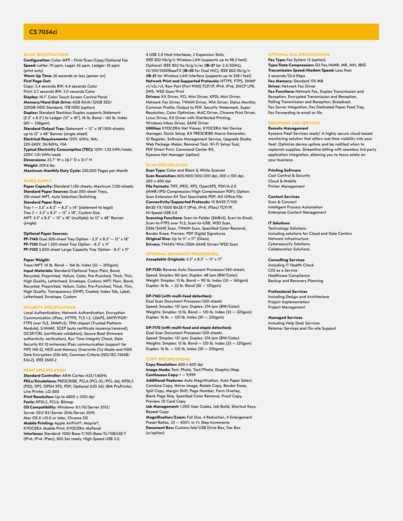# **BASIC SPECIFICATIONS**

**Configuration:** Color MFP - Print/Scan/Copy/Optional Fax **Speed:** Letter: 70 ppm, Legal: 42 ppm, Ledger: 35 ppm (print only)

**Warm Up Time:** 26 seconds or less (power on) **First Page Out:** Copy: 3.4 seconds BW, 4.4 seconds Color

Print: 3.7 seconds BW, 5.0 seconds Color **Display:** 10.1" Color Touch Screen Control Panel **Memory/Hard Disk Drive:** 4GB RAM/32GB SSD/ 320GB HDD Standard, 1TB HDD (option) **Duplex:** Standard Stackless Duplex supports Statement (5.5" x 8.5") to Ledger (12" x 18"), 16 lb. Bond - 142 lb. Index (60 – 256gsm) **Standard Output Tray:** Statement – 12" x 18"/500-sheets; up to 12" x 48" Banner (single sheet) **Electrical Requirements:** 120V, 60Hz, 16A; 220-240V, 50/60Hz, 10A **Typical Electricity Consumption (TEC):** 120V: 1.05 kWh/week; 220V: 1.01 kWh/week **Dimensions:** 23.7" W x 26.1" D x 31.1" H

**Weight:** 209.4 lbs **Maximum Monthly Duty Cycle:** 250,000 Pages per Month

#### **PAPER SUPPLY**

**Paper Capacity:** Standard 1,150-sheets; Maximum 7,150-sheets **Standard Paper Sources:** Dual 500-sheet Trays, 150-sheet MPT, Auto Selection/Switching **Standard Paper Size:**  Tray  $1 - 5.5$ " x  $8.5$ "  $- 8.5$ " x  $14$ " (statement to legal) Tray  $2 - 5.5'' \times 8.5'' - 12'' \times 18''$ , Custom Size MPT: 5.5" x 8.5" – 12" x 18" (multiple); to 12" x 48" Banner (single)

# **Optional Paper Sources:**

**PF-7140** Dual 500-sheet Tray Option - 5.5" x 8.5" – 12" x 18" **PF-7150** Dual 1,500-sheet Tray Option - 8.5" x 11" **PF-7120** 3,000-sheet Large Capacity Tray Option - 8.5" x 11"

#### **Paper Weight:**

Trays/MPT: 14 lb. Bond – 166 lb. Index (52 – 300gsm) **Input Materials:** Standard/Optional Trays: Plain, Bond, Recycled, Preprinted, Vellum, Color, Pre-Punched, Thick, Thin, High Quality, Letterhead, Envelope, Custom; MPT: Plain, Bond, Recycled, Preprinted, Vellum, Color, Pre-Punched, Thick, Thin, High Quality, Transparency (OHP), Coated, Index Tab, Label, Letterhead, Envelope, Custom

# **SECURITY SPECIFICATIONS**

Local Authentication, Network Authentication, Encryption Communication (IPsec, HTTPS, TLS 1.3, LDAPS, SMTP/POP/ FTPS over TLS, SNMPv3), TPM chipset (Trusted Platform Module), S/MIME, SCEP (auto certificate issuance/renewal), OCSP/CRL (certificate validation), Secure Boot (firmware authenticity verification), Run Time Integrity Check, Data Security Kit 10 enhances IPsec communication (support for FIPS 140-2), HDD and Memory Overwrite (7x) Mode and HDD Data Encryption (256 bit), Common Criteria (ISO/IEC-15408/ EAL2), IEEE 2600.2

#### **PRINT SPECIFICATION**

**Standard Controller:** ARM Cortex-A53/1.6GHz **PDLs/Emulations:** PRESCRIBE, PCL6 (PCL-XL/PCL-5e), KPDL3 (PS3), XPS, OPEN XPS, PDF; Optional (UG 34): IBM ProPrinter, Line Printer, LQ-850 **Print Resolution:** Up to 4800 x 1200 dpi **Fonts:** KPDL3, PCL6, Bitmap **OS Compatibility:** Windows: 8.1/10/Server 2012/ Server 2012 R2/Server 2016/Server 2019; Mac OS X v10.0 or later; Chrome OS **Mobile Printing:** Apple AirPrint®, Mopria®, KYOCERA Mobile Print, KYOCERA MyPanel **Interfaces:** Standard: 1000 Base-T/100-Base-Tx/10BASE-T (IPv6, IPv4, IPsec), 802.3az ready, High-Speed USB 3.0,

4 USB 2.0 Host Interfaces, 2 Expansion Slots, IEEE 802.11b/g/n Wireless LAN (supports up to 98.5 feet); Optional: IEEE 802.11a/b/g/n/ac (**IB-37** for 2.4/5GHz), 10/100/1000BaseTX (**IB-50** for Dual NIC); IEEE 802.11b/g/n (**IB-51** for Wireless LAN Interface (supports up to 328.1 feet) **Network Print and Supported Protocols:** HTTPS, FTPS, SNMP v1/v2c/v3, Raw Port (Port 9100) TCP/IP, IPv4, IPv6, DHCP LPR, DNS, WSD Scan/Print **Drivers:** KX Driver, PCL Mini Driver, KPDL Mini Driver, Network Fax Driver, TWAIN Driver, WIA Driver, Status Monitor, Common Profile, Output to PDF, Security Watermark, Super

Resolution, Color Optimizer, MAC Driver, Chrome Print Driver, Linux Driver, KX Driver with Distributed Printing, Windows Inbox Driver, SANE Driver

**Utilities:** KYOCERA Net Viewer, KYOCERA Net Device Manager, Quick Setup, KX PRESCRIBE Macro Generator, ID Register, Software Management Service, Upgrade Studio, Web Package Maker, Removal Tool, Wi-Fi Setup Tool, PDF Direct Print, Command Center RX; Kyocera Net Manager (option)

#### **SCAN SPECIFICATION**

**Scan Type:** Color and Black & White Scanner **Scan Resolution:** 600/400/300/200 dpi, 200 x 100 dpi, 200 x 400 dpi

**File Formats:** TIFF, JPEG, XPS, OpenXPS, PDF/A-2.0 (MMR/JPG Compression/High Compression PDF); Option: Scan Extension Kit Text Searchable PDF; MS Office File **Connectivity/Supported Protocols:** 10 BASE-T/100 BASE-TX/1000 BASE-T (IPv6, IPv4, IPSec) TCP/IP, Hi-Speed USB 3.0

**Scanning Functions:** Scan-to-Folder (SMBv3), Scan-to-Email, Scan-to-FTPS over TLS, Scan-to-USB, WSD Scan, DSM/SANE Scan, TWAIN Scan, Specified Color Removal, Border Erase, Preview, PDF Digital Signatures **Original Size:** Up to 11" x 17" (Glass) **Drivers:** TWAIN/WIA/DSM-SANE Driver/WSD Scan

#### **OPTIONAL DOCUMENT PROCESSORS:** Acceptable Originals:  $5.5'' \times 8.5'' - 11'' \times 17''$

**DP-7150:** Reverse Auto Document Processor/140-sheets Speed: Simplex: 80 ipm; Duplex: 48 ipm (BW/Color) Weight: Simplex: 13 lb. Bond – 90 lb. Index (35 – 160gsm) Duplex: 16 lb. – 32 lb. Bond (50 – 120gsm)

#### **DP-7160 (with multi-feed detection):**

Dual Scan Document Processor/320-sheets Speed: Simplex: 137 ipm; Duplex: 274 ipm (BW/Color) Weights: Simplex: 13 lb. Bond – 120 lb. Index (35 – 220gsm) Duplex: 16 lb. – 120 lb. Index (50 – 220gsm)

#### **DP-7170 (with multi-feed and staple detection):**

Dual Scan Document Processor/320-sheets Speed: Simplex: 137 ipm; Duplex: 274 ipm (BW/Color) Weights: Simplex: 13 lb. Bond – 120 lb. Index (35 – 220gsm) Duplex: 16 lb. – 120 lb. Index (50 – 220gsm)

#### **COPY SPECIFICATIONS**

(w/option)

**Copy Resolution:** 600 x 600 dpi **Image Mode:** Text, Photo, Text/Photo, Graphic/Map **Continuous Copy:** 1 – 9,999 **Additional Features:** Auto Magnification, Auto Paper Select, Combine Copy, Mirror Image, Rotate Copy, Border Erase, Split Copy, Margin Shift, Page Number, Form Overlay, Blank Page Skip, Specified Color Removal, Proof Copy, Preview, ID Card Copy **Job Management:** 1,000 User Codes, Job Build, Shortcut Keys, Repeat Copy **Magnification/Zoom:** Full Size, 4 Reduction, 4 Enlargement Preset Ratios, 25 – 400% in 1% Step Increments **Document Box:** Custom/Job/USB Drive Box, Fax Box

#### **OPTIONAL FAX SPECIFICATIONS Fax Type:** Fax System 12 (option)

**Type/Data Compression:** G3 Fax/MMR, MR, MH, JBIG **Transmission Speed/Modem Speed:** Less than 3 seconds/33.6 Kbps **Fax Memory:** Standard 170 MB **Driver:** Network Fax Driver **Fax Functions:** Network Fax, Duplex Transmission and Reception, Encrypted Transmission and Reception, Polling Transmission and Reception, Broadcast, Fax Server Integration, Fax Dedicated Paper Feed Tray, Fax Forwarding to email or file

# **SOLUTIONS AND SERVICES**

# **Remote Management**

Kyocera Fleet Services ready! A highly secure cloud-based monitoring solution that offers real-time visibility into your fleet. Optimize device uptime and be notified when to replenish supplies. Streamline billing with seamless 3rd party application integration, allowing you to focus solely on your business.

## **Printing Software**

Cost Control & Security Cloud & Mobile Printer Management

**Content Services** Scan & Connect

Intelligent Process Automation Enterprise Content Management

#### **IT Solutions**

Technology Solutions Including solutions for Cloud and Data Centers Network Infrastructure Cybersecurity Solutions Collaboration Solutions

# **Consulting Services**

Including IT Health Check CIO as a Service Healthcare Compliance Backup and Recovery Planning

# **Professional Services**

Including Design and Architecture Project Implementation Project Management

**Managed Services**

Including Help Desk Services Retainer Services and On-site Support